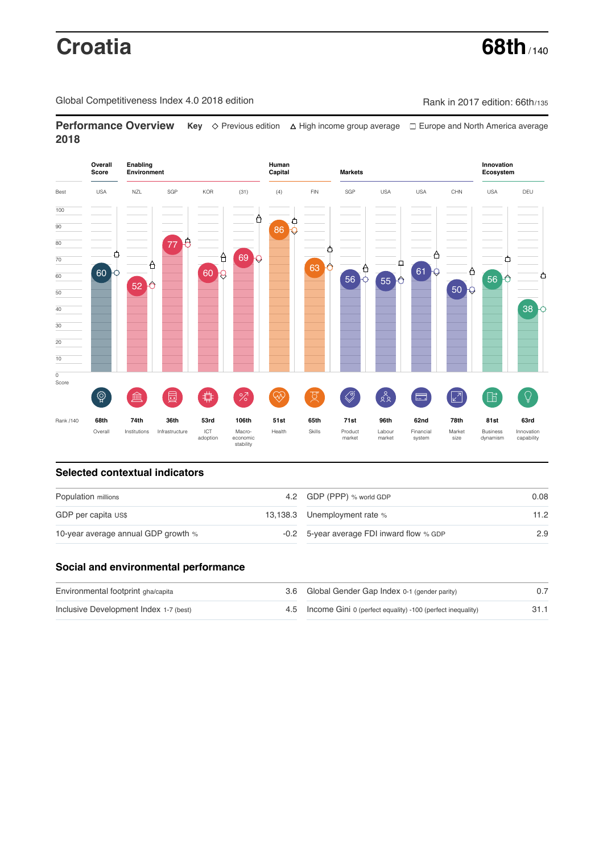# **Croatia 68th**

Global Competitiveness Index 4.0 2018 edition Company Rank in 2017 edition: 66th/135

**Performance Overview** Key  $\Diamond$  Previous edition ∆ High income group average  $\Box$  Europe and North America average **2018**



# **Selected contextual indicators**

| Population millions                 |  | 4.2 GDP (PPP) % world GDP                 | 0.08 |  |
|-------------------------------------|--|-------------------------------------------|------|--|
| GDP per capita US\$                 |  | 13,138.3 Unemployment rate %              | 11.2 |  |
| 10-year average annual GDP growth % |  | -0.2 5-year average FDI inward flow % GDP | 2.9  |  |

## **Social and environmental performance**

| Environmental footprint gha/capita     | 3.6 Global Gender Gap Index 0-1 (gender parity)                |      |
|----------------------------------------|----------------------------------------------------------------|------|
| Inclusive Development Index 1-7 (best) | 4.5 Income Gini 0 (perfect equality) -100 (perfect inequality) | 31.1 |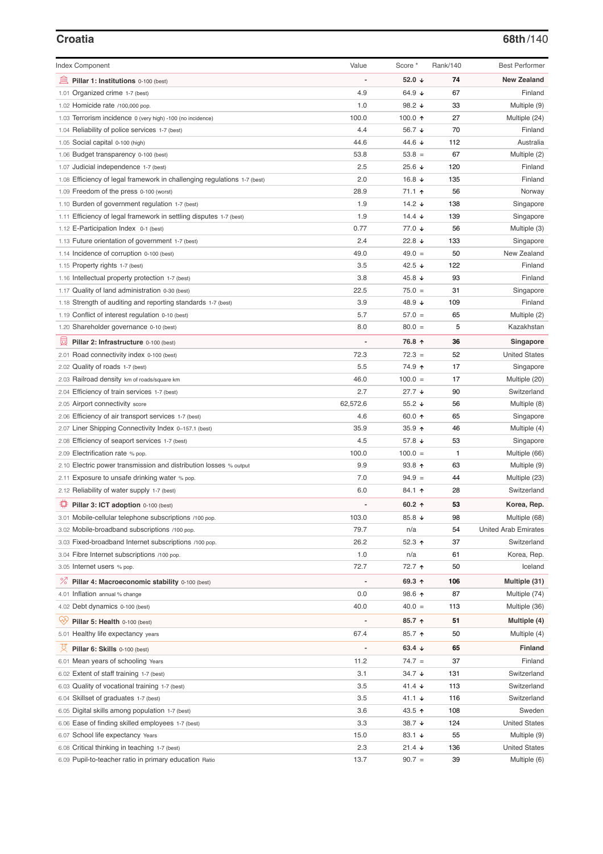| <b>Index Component</b>                                                   | Value                        | Score *              | Rank/140 | <b>Best Performer</b> |
|--------------------------------------------------------------------------|------------------------------|----------------------|----------|-----------------------|
| 寙<br>Pillar 1: Institutions 0-100 (best)                                 |                              | 52.0 $\sqrt{ }$      | 74       | <b>New Zealand</b>    |
| 1.01 Organized crime 1-7 (best)                                          | 4.9                          | 64.9 $\sqrt{ }$      | 67       | Finland               |
| 1.02 Homicide rate /100,000 pop.                                         | 1.0                          | 98.2 $\sqrt{ }$      | 33       | Multiple (9)          |
| 1.03 Terrorism incidence 0 (very high) -100 (no incidence)               | 100.0                        | 100.0 $\uparrow$     | 27       | Multiple (24)         |
| 1.04 Reliability of police services 1-7 (best)                           | 4.4                          | 56.7 ↓               | 70       | Finland               |
| 1.05 Social capital 0-100 (high)                                         | 44.6                         | 44.6 ↓               | 112      | Australia             |
| 1.06 Budget transparency 0-100 (best)                                    | 53.8                         | $53.8 =$             | 67       | Multiple (2)          |
| 1.07 Judicial independence 1-7 (best)                                    | 2.5                          | 25.6 ↓               | 120      | Finland               |
| 1.08 Efficiency of legal framework in challenging regulations 1-7 (best) | 2.0                          | 16.8 $\sqrt{ }$      | 135      | Finland               |
| 1.09 Freedom of the press 0-100 (worst)                                  | 28.9                         | 71.1 ↑               | 56       | Norway                |
| 1.10 Burden of government regulation 1-7 (best)                          | 1.9                          | 14.2 $\sqrt{ }$      | 138      | Singapore             |
| 1.11 Efficiency of legal framework in settling disputes 1-7 (best)       | 1.9                          | 14.4 $\sqrt{ }$      | 139      | Singapore             |
| 1.12 E-Participation Index 0-1 (best)                                    | 0.77                         | 77.0 ↓               | 56       | Multiple (3)          |
| 1.13 Future orientation of government 1-7 (best)                         | 2.4                          | 22.8 $\sqrt{ }$      | 133      | Singapore             |
| 1.14 Incidence of corruption 0-100 (best)                                | 49.0                         | $49.0 =$             | 50       | New Zealand           |
| 1.15 Property rights 1-7 (best)                                          | 3.5                          | 42.5 $\sqrt{ }$      | 122      | Finland               |
| 1.16 Intellectual property protection 1-7 (best)                         | 3.8                          | 45.8 ↓               | 93       | Finland               |
| 1.17 Quality of land administration 0-30 (best)                          | 22.5                         | $75.0 =$             | 31       | Singapore             |
| 1.18 Strength of auditing and reporting standards 1-7 (best)             | 3.9                          | 48.9 ↓               | 109      | Finland               |
| 1.19 Conflict of interest regulation 0-10 (best)                         | 5.7                          | $57.0 =$             | 65       | Multiple (2)          |
| 1.20 Shareholder governance 0-10 (best)                                  | 8.0                          | $80.0 =$             | 5        | Kazakhstan            |
| 員<br>Pillar 2: Infrastructure 0-100 (best)                               |                              | 76.8 ↑               | 36       | Singapore             |
| 2.01 Road connectivity index 0-100 (best)                                | 72.3                         | $72.3 =$             | 52       | <b>United States</b>  |
| 2.02 Quality of roads 1-7 (best)                                         | 5.5                          | 74.9 ↑               | 17       | Singapore             |
| 2.03 Railroad density km of roads/square km                              | 46.0                         | $100.0 =$            | 17       | Multiple (20)         |
| 2.04 Efficiency of train services 1-7 (best)                             | 2.7                          | $27.7 +$             | 90       | Switzerland           |
| 2.05 Airport connectivity score                                          | 62,572.6                     | 55.2 $\sqrt{ }$      | 56       | Multiple (8)          |
| 2.06 Efficiency of air transport services 1-7 (best)                     | 4.6                          | 60.0 $\uparrow$      | 65       | Singapore             |
| 2.07 Liner Shipping Connectivity Index 0-157.1 (best)                    | 35.9                         | 35.9 $\uparrow$      | 46       | Multiple (4)          |
| 2.08 Efficiency of seaport services 1-7 (best)                           | 4.5                          | 57.8 ↓               | 53       | Singapore             |
| 2.09 Electrification rate % pop.                                         | 100.0                        | $100.0 =$            | 1        | Multiple (66)         |
| 2.10 Electric power transmission and distribution losses % output        | 9.9                          | $93.8$ ↑             | 63       | Multiple (9)          |
| 2.11 Exposure to unsafe drinking water % pop.                            | 7.0                          | $94.9 =$             | 44       | Multiple (23)         |
| 2.12 Reliability of water supply 1-7 (best)                              | 6.0                          | 84.1 ↑               | 28       | Switzerland           |
| 尊<br>Pillar 3: ICT adoption 0-100 (best)                                 |                              | 60.2 $\uparrow$      | 53       | Korea, Rep.           |
| 3.01 Mobile-cellular telephone subscriptions /100 pop.                   | 103.0                        | 85.8 ↓               | 98       | Multiple (68)         |
| 3.02 Mobile-broadband subscriptions /100 pop.                            | 79.7                         | n/a                  | 54       | United Arab Emirates  |
| 3.03 Fixed-broadband Internet subscriptions /100 pop.                    | 26.2                         | 52.3 $\uparrow$      | 37       | Switzerland           |
| 3.04 Fibre Internet subscriptions /100 pop.                              | 1.0                          | n/a                  | 61       | Korea, Rep.           |
| 3.05 Internet users % pop.                                               | 72.7                         | 72.7 ተ               | 50       | Iceland               |
| ℅<br>Pillar 4: Macroeconomic stability 0-100 (best)                      | $\qquad \qquad \blacksquare$ | 69.3 ↑               | 106      | Multiple (31)         |
| 4.01 Inflation annual % change                                           | 0.0                          | 98.6 个               | 87       | Multiple (74)         |
| 4.02 Debt dynamics 0-100 (best)                                          | 40.0                         | $40.0 =$             | 113      | Multiple (36)         |
| ųÿ<br>Pillar 5: Health 0-100 (best)                                      |                              | $85.7$ ↑             | 51       | Multiple (4)          |
| 5.01 Healthy life expectancy years                                       | 67.4                         | 85.7 ↑               | 50       | Multiple (4)          |
| 섯<br>Pillar 6: Skills 0-100 (best)                                       | $\overline{\phantom{0}}$     | 63.4 $\downarrow$    | 65       | Finland               |
| 6.01 Mean years of schooling Years                                       | 11.2                         | $74.7 =$             | 37       | Finland               |
| 6.02 Extent of staff training 1-7 (best)                                 | 3.1                          | 34.7 ↓               | 131      | Switzerland           |
| 6.03 Quality of vocational training 1-7 (best)                           | 3.5                          | 41.4 $\sqrt{ }$      | 113      | Switzerland           |
| 6.04 Skillset of graduates 1-7 (best)                                    | 3.5                          | 41.1 $\sqrt{ }$      | 116      | Switzerland           |
| 6.05 Digital skills among population 1-7 (best)                          | 3.6                          | 43.5 ↑               | 108      | Sweden                |
| 6.06 Ease of finding skilled employees 1-7 (best)                        | 3.3                          | 38.7 ↓               | 124      | United States         |
| 6.07 School life expectancy Years                                        | 15.0                         | 83.1 $\sqrt{ }$      | 55       | Multiple (9)          |
| 6.08 Critical thinking in teaching 1-7 (best)                            | 2.3                          | $21.4 \; \downarrow$ | 136      | <b>United States</b>  |
| 6.09 Pupil-to-teacher ratio in primary education Ratio                   | 13.7                         | $90.7 =$             | 39       | Multiple (6)          |